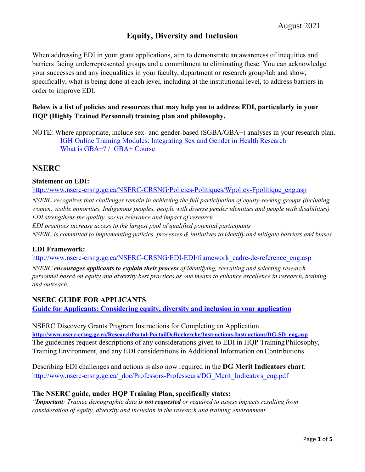# **Equity, Diversity and Inclusion**

When addressing EDI in your grant applications, aim to demonstrate an awareness of inequities and barriers facing underrepresented groups and a commitment to eliminating these. You can acknowledge your successes and any inequalities in your faculty, department or research group/lab and show, specifically, what is being done at each level, including at the institutional level, to address barriers in order to improve EDI.

### **Below is a list of policies and resources that may help you to address EDI, particularly in your HQP (Highly Trained Personnel) training plan and philosophy.**

## **NSERC**

#### **Statement on EDI:**

[http://www.nserc-crsng.gc.ca/NSERC-CRSNG/Policies-Politiques/Wpolicy-Fpolitique\\_eng.asp](http://www.nserc-crsng.gc.ca/NSERC-CRSNG/Policies-Politiques/Wpolicy-Fpolitique_eng.asp)

*NSERC recognizes that challenges remain in achieving the full participation of equity-seeking groups (including women, visible minorities, Indigenous peoples, people with diverse gender identities and people with disabilities) EDI strengthens the quality, social relevance and impact of research*

*EDI practices increase access to the largest pool of qualified potential participants NSERC is committed to implementing policies, processes & initiatives to identify and mitigate barriers and biases*

### **EDI Framework:**

[http://www.nserc-crsng.gc.ca/NSERC-CRSNG/EDI-EDI/framework\\_cadre-de-reference\\_eng.asp](http://www.nserc-crsng.gc.ca/NSERC-CRSNG/EDI-EDI/framework_cadre-de-reference_eng.asp)

*NSERC encourages applicants to explain their process of identifying, recruiting and selecting research personnel based on equity and diversity best practices as one means to enhance excellence in research, training and outreach.*

### **NSERC GUIDE FOR APPLICANTS**

**[Guide for Applicants: Considering equity, diversity and inclusion in your application](http://www.nserc-crsng.gc.ca/_doc/EDI/Guide_for_Applicants_EN.pdf)**

NSERC Discovery Grants Program Instructions for Completing an Application **[http://www.nserc-crsng.gc.ca/ResearchPortal-PortailDeRecherche/Instructions-Instructions/DG-SD\\_eng.asp](http://www.nserc-crsng.gc.ca/ResearchPortal-PortailDeRecherche/Instructions-Instructions/DG-SD_eng.asp)** The guidelines request descriptions of any considerations given to EDI in HQP TrainingPhilosophy, Training Environment, and any EDI considerations in Additional Information on Contributions.

Describing EDI challenges and actions is also now required in the **DG Merit Indicators chart**: [http://www.nserc-crsng.gc.ca/\\_doc/Professors-Professeurs/DG\\_Merit\\_Indicators\\_eng.pdf](http://www.nserc-crsng.gc.ca/_doc/Professors-Professeurs/DG_Merit_Indicators_eng.pdf)

#### **The NSERC guide, under HQP Training Plan, specifically states:**

*"Important: Trainee demographic data is not requested or required to assess impacts resulting from consideration of equity, diversity and inclusion in the research and training environment.*

NOTE: Where appropriate, include sex- and gender-based (SGBA/GBA+) analyses in your research plan. [IGH Online Training Modules: Integrating Sex and Gender in Health Research](https://cihr-irsc.gc.ca/e/49347.html) [What is GBA+?](https://cfc-swc.gc.ca/gba-acs/index-en.html) / [GBA+ Course](https://cfc-swc.gc.ca/gba-acs/course-cours-en.html)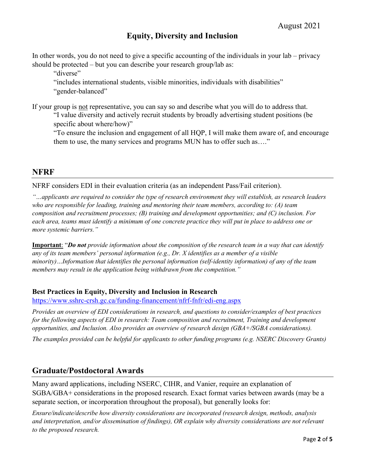# **Equity, Diversity and Inclusion**

In other words, you do not need to give a specific accounting of the individuals in your lab – privacy should be protected – but you can describe your research group/lab as:

"diverse"

"includes international students, visible minorities, individuals with disabilities" "gender-balanced"

If your group is not representative, you can say so and describe what you will do to address that. "I value diversity and actively recruit students by broadly advertising student positions (be specific about where/how)"

"To ensure the inclusion and engagement of all HQP, I will make them aware of, and encourage them to use, the many services and programs MUN has to offer such as…."

## **NFRF**

NFRF considers EDI in their evaluation criteria (as an independent Pass/Fail criterion).

*"…applicants are required to consider the type of research environment they will establish, as research leaders who are responsible for leading, training and mentoring their team members, according to: (A) team composition and recruitment processes; (B) training and development opportunities; and (C) inclusion. For each area, teams must identify a minimum of one concrete practice they will put in place to address one or more systemic barriers."*

**Important**: "*Do not provide information about the composition of the research team in a way that can identify any of its team members' personal information (e.g., Dr. X identifies as a member of a visible minority)…Information that identifies the personal information (self-identity information) of any of the team members may result in the application being withdrawn from the competition."*

### **Best Practices in Equity, Diversity and Inclusion in Research**

<https://www.sshrc-crsh.gc.ca/funding-financement/nfrf-fnfr/edi-eng.aspx>

*Provides an overview of EDI considerations in research, and questions to consider/examples of best practices for the following aspects of EDI in research: Team composition and recruitment, Training and development opportunities, and Inclusion. Also provides an overview of research design (GBA+/SGBA considerations).*

*The examples provided can be helpful for applicants to other funding programs (e.g. NSERC Discovery Grants)*

## **Graduate/Postdoctoral Awards**

Many award applications, including NSERC, CIHR, and Vanier, require an explanation of SGBA/GBA+ considerations in the proposed research. Exact format varies between awards (may be a separate section, or incorporation throughout the proposal), but generally looks for:

*Ensure/indicate/describe how diversity considerations are incorporated (research design, methods, analysis and interpretation, and/or dissemination of findings), OR explain why diversity considerations are not relevant to the proposed research.*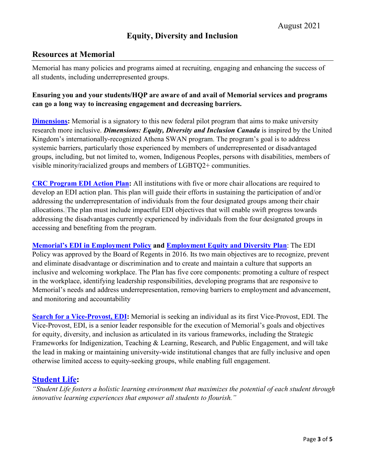## **Resources at Memorial**

Memorial has many policies and programs aimed at recruiting, engaging and enhancing the success of all students, including underrepresented groups.

### **Ensuring you and your students/HQP are aware of and avail of Memorial services and programs can go a long way to increasing engagement and decreasing barriers.**

**[Dimensions:](https://www.mun.ca/president/home/dimensions.php)** Memorial is a signatory to this new federal pilot program that aims to make university research more inclusive. *Dimensions: Equity, Diversity and Inclusion Canada* is inspired by the United Kingdom's internationally-recognized Athena SWAN program. The program's goal is to address systemic barriers, particularly those experienced by members of underrepresented or disadvantaged groups, including, but not limited to, women, Indigenous Peoples, persons with disabilities, members of visible minority/racialized groups and members of LGBTQ2+ communities.

**[CRC Program EDI Action Plan:](https://www.mun.ca/research/explore/chairs/CRCP_Action_Plan_Sept_27_2019.pdf)** All institutions with five or more chair allocations are required to develop an EDI action plan. This plan will guide their efforts in sustaining the participation of and/or addressing the underrepresentation of individuals from the four designated groups among their chair allocations. The plan must include impactful EDI objectives that will enable swift progress towards addressing the disadvantages currently experienced by individuals from the four designated groups in accessing and benefiting from the program.

**[Memorial's EDI in Employment Policy](https://www.mun.ca/policy/browse/policies/view.php?policy=294) and [Employment Equity and Diversity Plan](https://www.mun.ca/hr/services/Equity/EquityandDiversityPlanReport.pdf)**: The EDI Policy was approved by the Board of Regents in 2016. Its two main objectives are to recognize, prevent and eliminate disadvantage or discrimination and to create and maintain a culture that supports an inclusive and welcoming workplace. The Plan has five core components: promoting a culture of respect in the workplace, identifying leadership responsibilities, developing programs that are responsive to Memorial's needs and address underrepresentation, removing barriers to employment and advancement, and monitoring and accountability

**[Search for a Vice-Provost, EDI:](https://www.mun.ca/vpacademic/media/production/memorial/administrative/office-of-the-provost-and-vice-president-academic/media-library/recruitment/Vice-Provost_EDI_-_Advertisement.pdf)** Memorial is seeking an individual as its first Vice-Provost, EDI. The Vice-Provost, EDI, is a senior leader responsible for the execution of Memorial's goals and objectives for equity, diversity, and inclusion as articulated in its various frameworks, including the Strategic Frameworks for Indigenization, Teaching & Learning, Research, and Public Engagement, and will take the lead in making or maintaining university-wide institutional changes that are fully inclusive and open otherwise limited access to equity-seeking groups, while enabling full engagement.

### **[Student Life:](https://www.mun.ca/student/)**

*"Student Life fosters a holistic learning environment that maximizes the potential of each student through innovative learning experiences that empower all students to flourish."*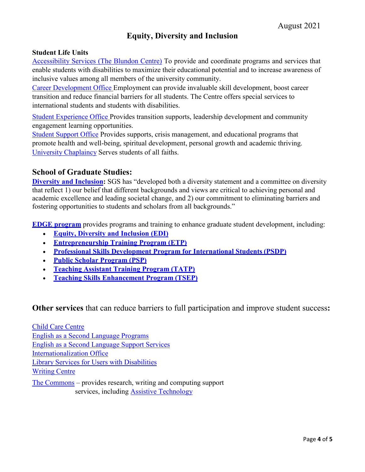# **Equity, Diversity and Inclusion**

#### **Student Life Units**

[Accessibility Services \(The Blundon Centre\)](https://www.mun.ca/student/about-us/units-and-contacts/accessibility-services---the-blundon-centre/) To provide and coordinate programs and services that enable students with disabilities to maximize their educational potential and to increase awareness of inclusive values among all members of the university community.

[Career Development Office](https://www.mun.ca/student/about-us/units-and-contacts/career-development-office/) Employment can provide invaluable skill development, boost career transition and reduce financial barriers for all students. The Centre offers special services to international students and students with disabilities.

[Student Experience Office](https://www.mun.ca/student/about-us/units-and-contacts/student-experience-office/) Provides transition supports, leadership development and community engagement learning opportunities.

[Student Support](https://www.mun.ca/student/about-us/units-and-contacts/student-support-office/) Office Provides supports, crisis management, and educational programs that promote health and well-being, spiritual development, personal growth and academic thriving. [University Chaplaincy](https://www.mun.ca/student/student-supports-and-services/supports/chaplaincy/) Serves students of all faiths.

#### **School of Graduate Studies:**

**[Diversity and Inclusion:](https://www.mun.ca/sgs/contacts/diversity.php)** SGS has "developed both a diversity statement and a committee on diversity that reflect 1) our belief that different backgrounds and views are critical to achieving personal and academic excellence and leading societal change, and 2) our commitment to eliminating barriers and fostering opportunities to students and scholars from all backgrounds."

**[EDGE program](https://www.mun.ca/edge/)** provides programs and training to enhance graduate student development, including:

- **[Equity, Diversity and Inclusion \(EDI\)](https://www.mun.ca/edge/Workshops__Events/Programs_Training/EDI.php)**
- **[Entrepreneurship Training Program](http://www.mun.ca/etp) (ETP)**
- **[Professional Skills Development Program for International Students](https://www.mun.ca/international/programming/employment/preparationprograms.php) (PSDP)**
- **[Public Scholar Program](https://www.mun.ca/sgs/publicscholarprogram.php) (PSP)**
- **[Teaching Assistant Training Program](https://www.mun.ca/edge/Workshops__Events/Programs_Training/TATP) (TATP)**
- **[Teaching Skills Enhancement Program](https://citl.mun.ca/TeachingSupport/PD/TSEP_GraduateStudent.php) (TSEP)**

**Other services** that can reduce barriers to full participation and improve student success**:**

[Child Care Centre](https://www.mun.ca/childcare/) [English as a Second Language Programs](https://www.mun.ca/esl/programs/) [English as a Second Language Support Services](https://www.mun.ca/esl/support/) [Internationalization Office](https://www.mun.ca/international/) [Library Services for Users with Disabilities](https://www.library.mun.ca/usingthelibraries/disabilities/) [Writing Centre](https://www.mun.ca/writingcentre/) [The Commons](https://thecommons.mun.ca/) – provides research, writing and computing support

services, including [Assistive Technology](https://thecommons.mun.ca/assistivetechnology.php)